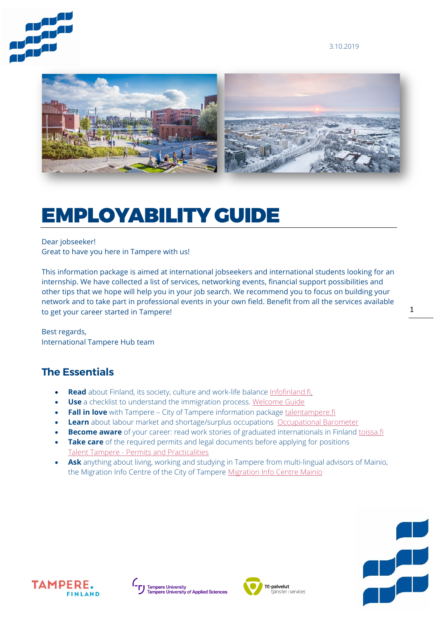3.10.2019





# EMPLOYABILITY GUIDE

### Dear jobseeker!

Great to have you here in Tampere with us!

This information package is aimed at international jobseekers and international students looking for an internship. We have collected a list of services, networking events, financial support possibilities and other tips that we hope will help you in your job search. We recommend you to focus on building your network and to take part in professional events in your own field. Benefit from all the services available to get your career started in Tampere!

Best regards, International Tampere Hub team

### **The Essentials**

- **Read** about Finland, its society, culture and work-life balance [Infofinland.fi.](https://www.infofinland.fi/)
- **Use** a checklist to understand the immigration process. [Welcome Guide](https://www.welcomeguide.fi/)
- **Fall in love** with Tampere City of Tampere information package [talentampere.fi](https://tampereenseutu.sharepoint.com/sites/InternationalTampereHub/Jaetut%20asiakirjat/General/Henkil%C3%B6asiakasmateriaaleja%20(esitteet%20yms.)/talenttampere.fi)
- **Learn** about labour market and shortage/surplus occupations [Occupational Barometer](https://www.ammattibarometri.fi/?kieli=en)
- **Become aware** of your career: read work stories of graduated internationals in Finland [toissa.fi](https://toissa.fi/about-service/)
- **Take care** of the required permits and legal documents before applying for positions Talent Tampere - [Permits and Practicalities](https://businesstampere.com/talenttampere/living/permits-and-practicalities/)
- **Ask** anything about living, working and studying in Tampere from multi-lingual advisors of Mainio, the Migration Info Centre of the City of Tampere [Migration Info Centre Mainio](https://www.tampere.fi/en/mainio.html)







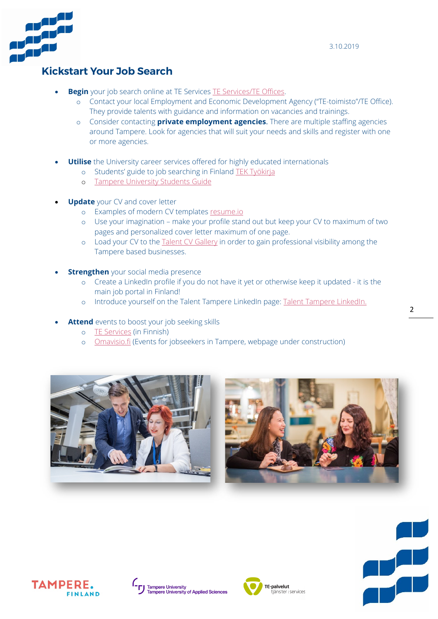

## **Kickstart Your Job Search**

- **Begin** your job search online at TE Services [TE Services/TE Offices.](http://www.te-palvelut.fi/te/en/index.html)
	- o Contact your local Employment and Economic Development Agency ("TE-toimisto"/TE Office). They provide talents with guidance and information on vacancies and trainings.
	- o Consider contacting **private employment agencies**. There are multiple staffing agencies around Tampere. Look for agencies that will suit your needs and skills and register with one or more agencies.
- **Utilise** the University career services offered for highly educated internationals
	- o Students' guide to job searching in Finland [TEK Työkirja](https://tektyokirja.fi/en/)
	- o [Tampere University Students Guide](https://www.tuni.fi/studentsguide/tampere-university-students-guide)
- **Update** your CV and cover letter
	- o Examples of modern CV templates [resume.io](https://resume.io/)
	- o Use your imagination make your profile stand out but keep your CV to maximum of two pages and personalized cover letter maximum of one page.
	- o Load your CV to the [Talent CV Gallery](https://talent-cv-gallery.com/) in order to gain professional visibility among the Tampere based businesses.
- **Strengthen** your social media presence
	- o Create a LinkedIn profile if you do not have it yet or otherwise keep it updated it is the main job portal in Finland!
	- o Introduce yourself on the Talent Tampere LinkedIn page: [Talent Tampere LinkedIn.](https://www.linkedin.com/groups/4703673)
- **Attend** events to boost your job seeking skills
	- o [TE Services](http://toimistot.te-palvelut.fi/pirkanmaa/tapahtumat) (in Finnish)
	- o [Omavisio.fi](http://www.omavisio.fi/) (Events for jobseekers in Tampere, webpage under construction)











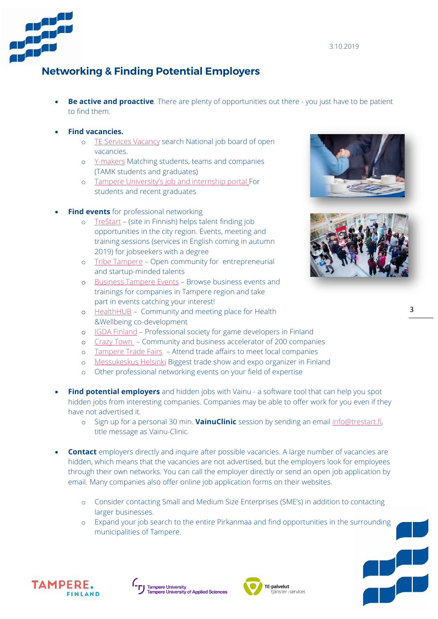

# **Networking & Finding Potential Employers**

• **Be active and proactive**. There are plenty of opportunities out there - you just have to be patient to find them.

#### • **Find vacancies.**

- o [TE Services Vacancy](https://paikat.te-palvelut.fi/tpt/) search National job board of open vacancies.
- o [Y-makers](https://y-makers.fi/en/) Matching students, teams and companies (TAMK students and graduates)
- o [Tampere University's job and internship portal](https://www.aarresaari.net/index.php?32&uniid=9&lang_id=1) For students and recent graduates
- **Find events** for professional networking
	- o [TreStart](http://www.trestart.fi/tapahtumat) (site in Finnish) helps talent finding job opportunities in the city region. Events, meeting and training sessions (services in English coming in autumn 2019) for jobseekers with a degree
	- o [Tribe Tampere](https://tribetampere.com/) Open community for entrepreneurial and startup-minded talents
	- o [Business Tampere Events](https://businesstampere.com/events/) Browse business events and trainings for companies in Tampere region and take part in events catching your interest!
	- o [HealthHUB](https://www.healthhub.fi/) Community and meeting place for Health &Wellbeing co-development
	- o [IGDA Finland](https://www.igda.fi/) Professional society for game developers in Finland
	- o [Crazy Town](https://www.crazytown.fi/english/) Community and business accelerator of 200 companies
	- o [Tampere Trade Fairs](https://www.tampereenmessut.fi/en/)  Attend trade affairs to meet local companies
	- o [Messukeskus Helsinki](https://messukeskus.com/?lang=en) Biggest trade show and expo organizer in Finland
	- o Other professional networking events on your field of expertise
- **Find potential employers** and hidden jobs with Vainu a software tool that can help you spot hidden jobs from interesting companies. Companies may be able to offer work for you even if they have not advertised it.
	- o Sign up for a personal 30 min. **VainuClinic** session by sending an email [info@trestart.fi,](mailto:info@trestart.fi)  title message as Vainu-Clinic.
- **Contact** employers directly and inquire after possible vacancies. A large number of vacancies are hidden, which means that the vacancies are not advertised, but the employers look for employees through their own networks. You can call the employer directly or send an open job application by email. Many companies also offer online job application forms on their websites.
	- o Consider contacting Small and Medium Size Enterprises (SME's) in addition to contacting larger businesses.
	- o Expand your job search to the entire Pirkanmaa and find opportunities in the surrounding municipalities of Tampere.







Ų